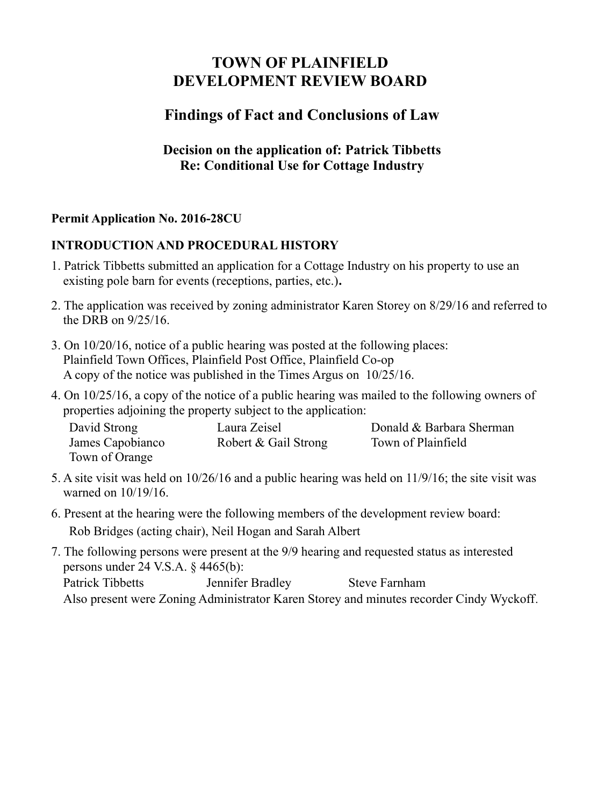# **TOWN OF PLAINFIELD DEVELOPMENT REVIEW BOARD**

# **Findings of Fact and Conclusions of Law**

### **Decision on the application of: Patrick Tibbetts Re: Conditional Use for Cottage Industry**

## **Permit Application No. 2016-28CU**

#### **INTRODUCTION AND PROCEDURAL HISTORY**

- 1. Patrick Tibbetts submitted an application for a Cottage Industry on his property to use an existing pole barn for events (receptions, parties, etc.)**.**
- 2. The application was received by zoning administrator Karen Storey on 8/29/16 and referred to the DRB on 9/25/16.
- 3. On 10/20/16, notice of a public hearing was posted at the following places: Plainfield Town Offices, Plainfield Post Office, Plainfield Co-op A copy of the notice was published in the Times Argus on 10/25/16.
- 4. On 10/25/16, a copy of the notice of a public hearing was mailed to the following owners of properties adjoining the property subject to the application:

| David Strong     | Laura Zeisel         | Donald & Barbara Sherman |
|------------------|----------------------|--------------------------|
| James Capobianco | Robert & Gail Strong | Town of Plainfield       |
| Town of Orange   |                      |                          |

- 5. A site visit was held on 10/26/16 and a public hearing was held on 11/9/16; the site visit was warned on 10/19/16.
- 6. Present at the hearing were the following members of the development review board: Rob Bridges (acting chair), Neil Hogan and Sarah Albert
- 7. The following persons were present at the 9/9 hearing and requested status as interested persons under 24 V.S.A. § 4465(b): Patrick Tibbetts **Jennifer Bradley** Steve Farnham

Also present were Zoning Administrator Karen Storey and minutes recorder Cindy Wyckoff.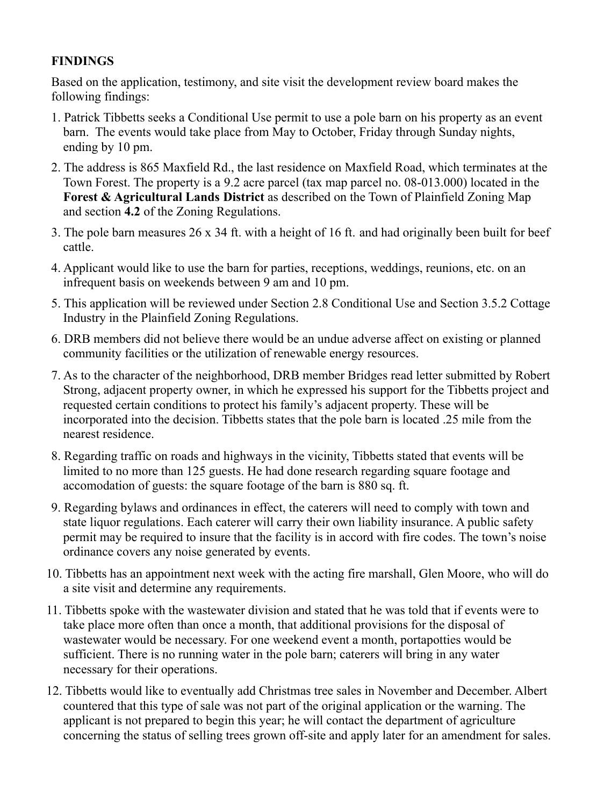## **FINDINGS**

Based on the application, testimony, and site visit the development review board makes the following findings:

- 1. Patrick Tibbetts seeks a Conditional Use permit to use a pole barn on his property as an event barn. The events would take place from May to October, Friday through Sunday nights, ending by 10 pm.
- 2. The address is 865 Maxfield Rd., the last residence on Maxfield Road, which terminates at the Town Forest. The property is a 9.2 acre parcel (tax map parcel no. 08-013.000) located in the **Forest & Agricultural Lands District** as described on the Town of Plainfield Zoning Map and section **4.2** of the Zoning Regulations.
- 3. The pole barn measures 26 x 34 ft. with a height of 16 ft. and had originally been built for beef cattle.
- 4. Applicant would like to use the barn for parties, receptions, weddings, reunions, etc. on an infrequent basis on weekends between 9 am and 10 pm.
- 5. This application will be reviewed under Section 2.8 Conditional Use and Section 3.5.2 Cottage Industry in the Plainfield Zoning Regulations.
- 6. DRB members did not believe there would be an undue adverse affect on existing or planned community facilities or the utilization of renewable energy resources.
- 7. As to the character of the neighborhood, DRB member Bridges read letter submitted by Robert Strong, adjacent property owner, in which he expressed his support for the Tibbetts project and requested certain conditions to protect his family's adjacent property. These will be incorporated into the decision. Tibbetts states that the pole barn is located .25 mile from the nearest residence.
- 8. Regarding traffic on roads and highways in the vicinity, Tibbetts stated that events will be limited to no more than 125 guests. He had done research regarding square footage and accomodation of guests: the square footage of the barn is 880 sq. ft.
- 9. Regarding bylaws and ordinances in effect, the caterers will need to comply with town and state liquor regulations. Each caterer will carry their own liability insurance. A public safety permit may be required to insure that the facility is in accord with fire codes. The town's noise ordinance covers any noise generated by events.
- 10. Tibbetts has an appointment next week with the acting fire marshall, Glen Moore, who will do a site visit and determine any requirements.
- 11. Tibbetts spoke with the wastewater division and stated that he was told that if events were to take place more often than once a month, that additional provisions for the disposal of wastewater would be necessary. For one weekend event a month, portapotties would be sufficient. There is no running water in the pole barn; caterers will bring in any water necessary for their operations.
- 12. Tibbetts would like to eventually add Christmas tree sales in November and December. Albert countered that this type of sale was not part of the original application or the warning. The applicant is not prepared to begin this year; he will contact the department of agriculture concerning the status of selling trees grown off-site and apply later for an amendment for sales.